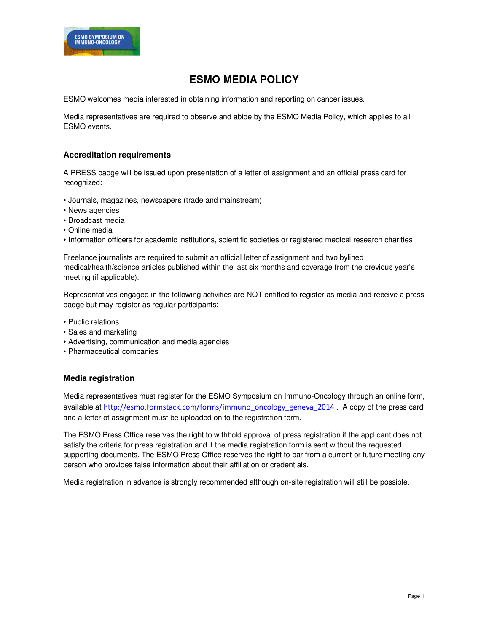

# **ESMO MEDIA POLICY**

ESMO welcomes media interested in obtaining information and reporting on cancer issues.

Media representatives are required to observe and abide by the ESMO Media Policy, which applies to all ESMO events.

# **Accreditation requirements**

A PRESS badge will be issued upon presentation of a letter of assignment and an official press card for recognized:

- Journals, magazines, newspapers (trade and mainstream)
- News agencies
- Broadcast media
- Online media
- Information officers for academic institutions, scientific societies or registered medical research charities

Freelance journalists are required to submit an official letter of assignment and two bylined medical/health/science articles published within the last six months and coverage from the previous year's meeting (if applicable).

Representatives engaged in the following activities are NOT entitled to register as media and receive a press badge but may register as regular participants:

- Public relations
- Sales and marketing
- Advertising, communication and media agencies
- Pharmaceutical companies

### **Media registration**

Media representatives must register for the ESMO Symposium on Immuno-Oncology through an online form, available at http://esmo.formstack.com/forms/immuno\_oncology\_geneva\_2014 . A copy of the press card and a letter of assignment must be uploaded on to the registration form.

The ESMO Press Office reserves the right to withhold approval of press registration if the applicant does not satisfy the criteria for press registration and if the media registration form is sent without the requested supporting documents. The ESMO Press Office reserves the right to bar from a current or future meeting any person who provides false information about their affiliation or credentials.

Media registration in advance is strongly recommended although on-site registration will still be possible.